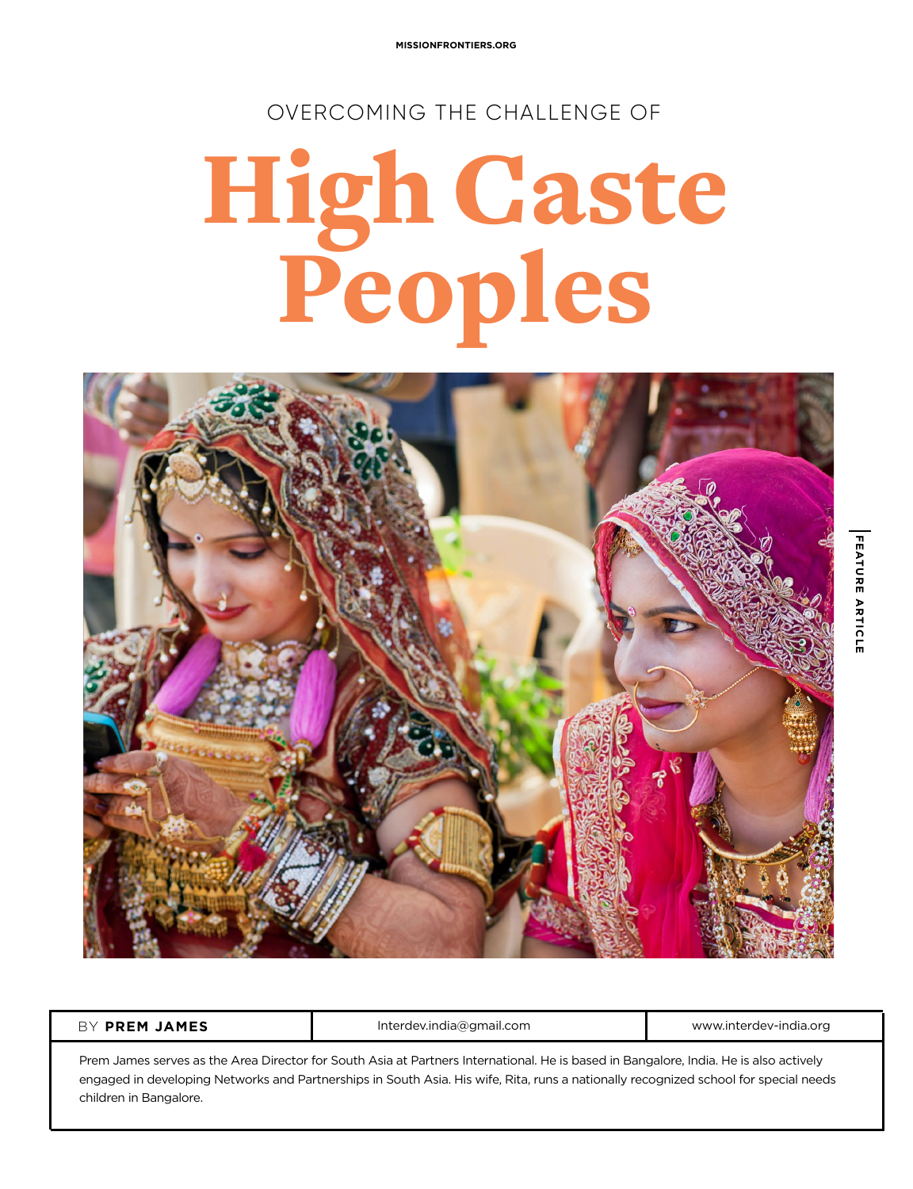**MISSIONFRONTIERS.ORG**

OVERCOMING THE CHALLENGE OF

## High Caste Peoples



**BY** PREM JAMES **Interdev.india@gmail.com <b>Interdeventure** www.interdev-india.org

Prem James serves as the Area Director for South Asia at Partners International. He is based in Bangalore, India. He is also actively engaged in developing Networks and Partnerships in South Asia. His wife, Rita, runs a nationally recognized school for special needs children in Bangalore.